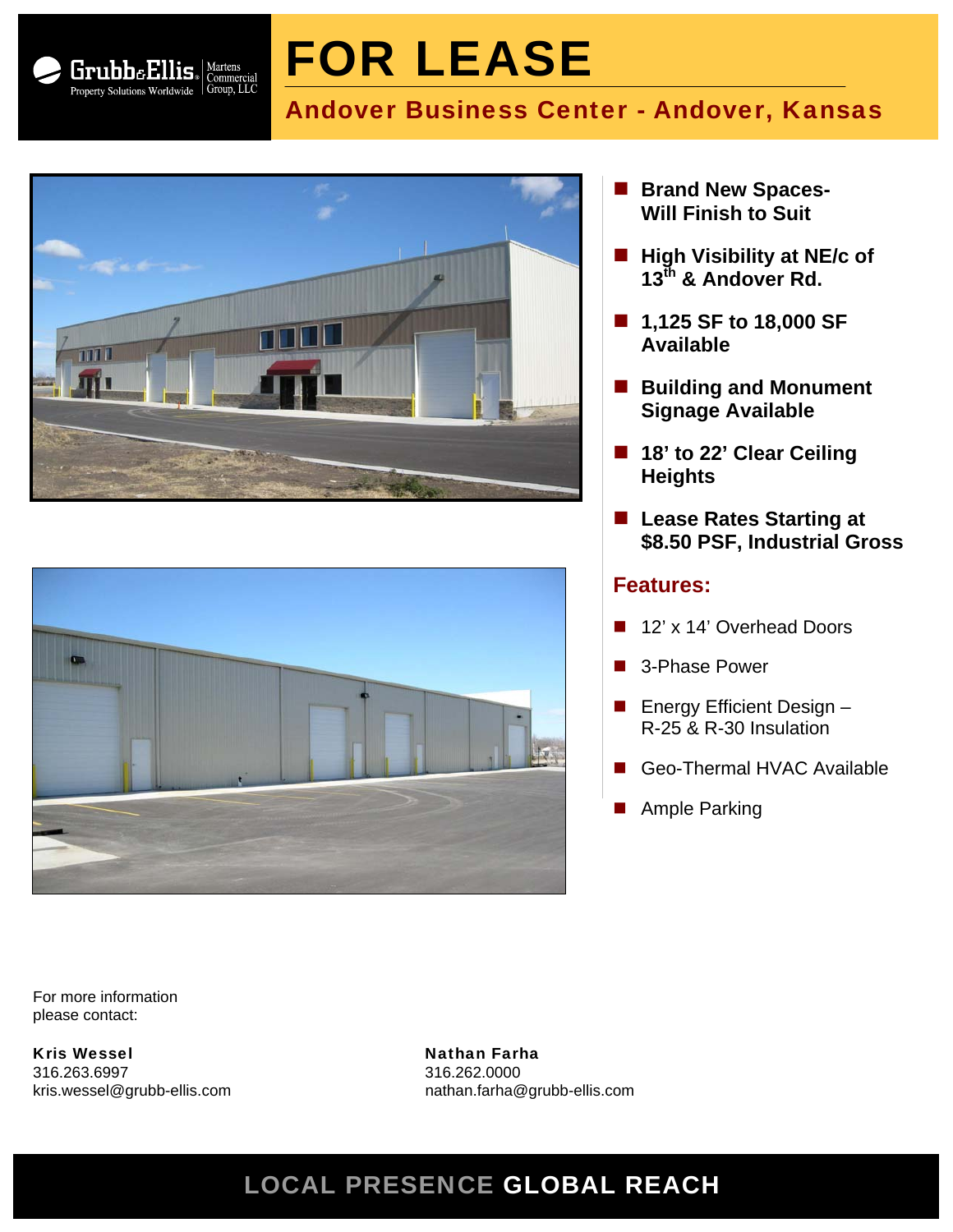

# FOR LEASE

# Andover Business Center - Andover, Kansas





- **Brand New Spaces-Will Finish to Suit**
- **High Visibility at NE/c of 13th & Andover Rd.**
- 1,125 SF to 18,000 SF **Available**
- Building and Monument **Signage Available**
- 18' to 22' Clear Ceiling **Heights**
- Lease Rates Starting at **\$8.50 PSF, Industrial Gross**

#### **Features:**

- 12' x 14' Overhead Doors
- 3-Phase Power
- **E** Energy Efficient Design  $-$ R-25 & R-30 Insulation
- Geo-Thermal HVAC Available
- Ample Parking

For more information please contact:

Kris Wessel Nathan Farha 316.263.6997 316.262.0000

kris.wessel@grubb-ellis.com nathan.farha@grubb-ellis.com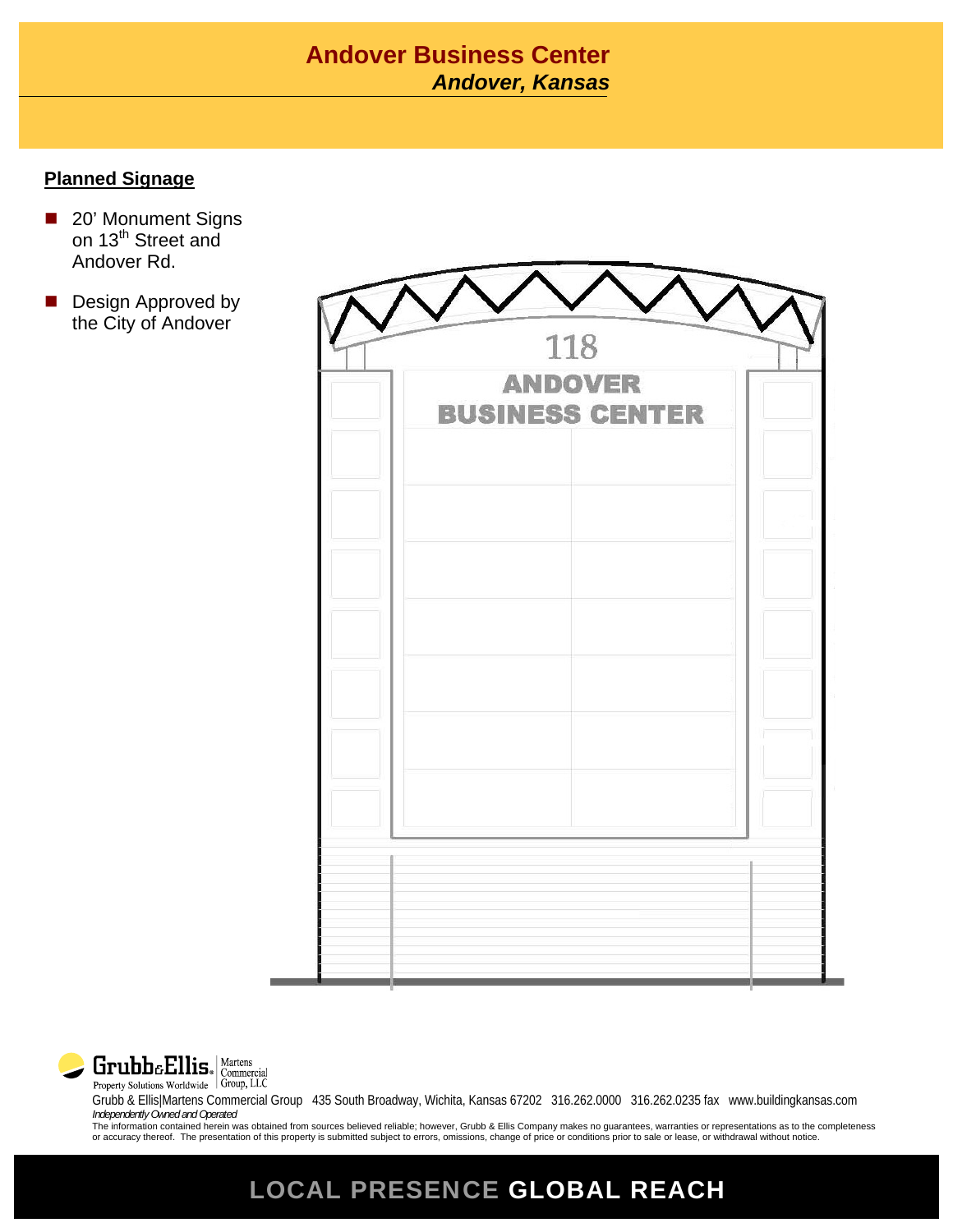## **Andover Business Center** *Wichita Area, Kansas Andover,*

#### **Planned Signage**

- 20' Monument Signs on 13<sup>th</sup> Street and Andover Rd.
- Design Approved by the City of Andover

| <b>ANDOVER</b><br><b>BUSINESS CENTER</b> | 118 |  |
|------------------------------------------|-----|--|
|                                          |     |  |
|                                          |     |  |
|                                          |     |  |
|                                          |     |  |
|                                          |     |  |
|                                          |     |  |
|                                          |     |  |
|                                          |     |  |



Grubb & Ellis|Martens Commercial Group 435 South Broadway, Wichita, Kansas 67202 316.262.0000 316.262.0235 fax www.buildingkansas.com *Independently Owned and Operated* The information contained herein was obtained from sources believed reliable; however, Grubb & Ellis Company makes no guarantees, warranties or representations as to the completeness

or accuracy thereof. The presentation of this property is submitted subject to errors, omissions, change of price or conditions prior to sale or lease, or withdrawal without notice.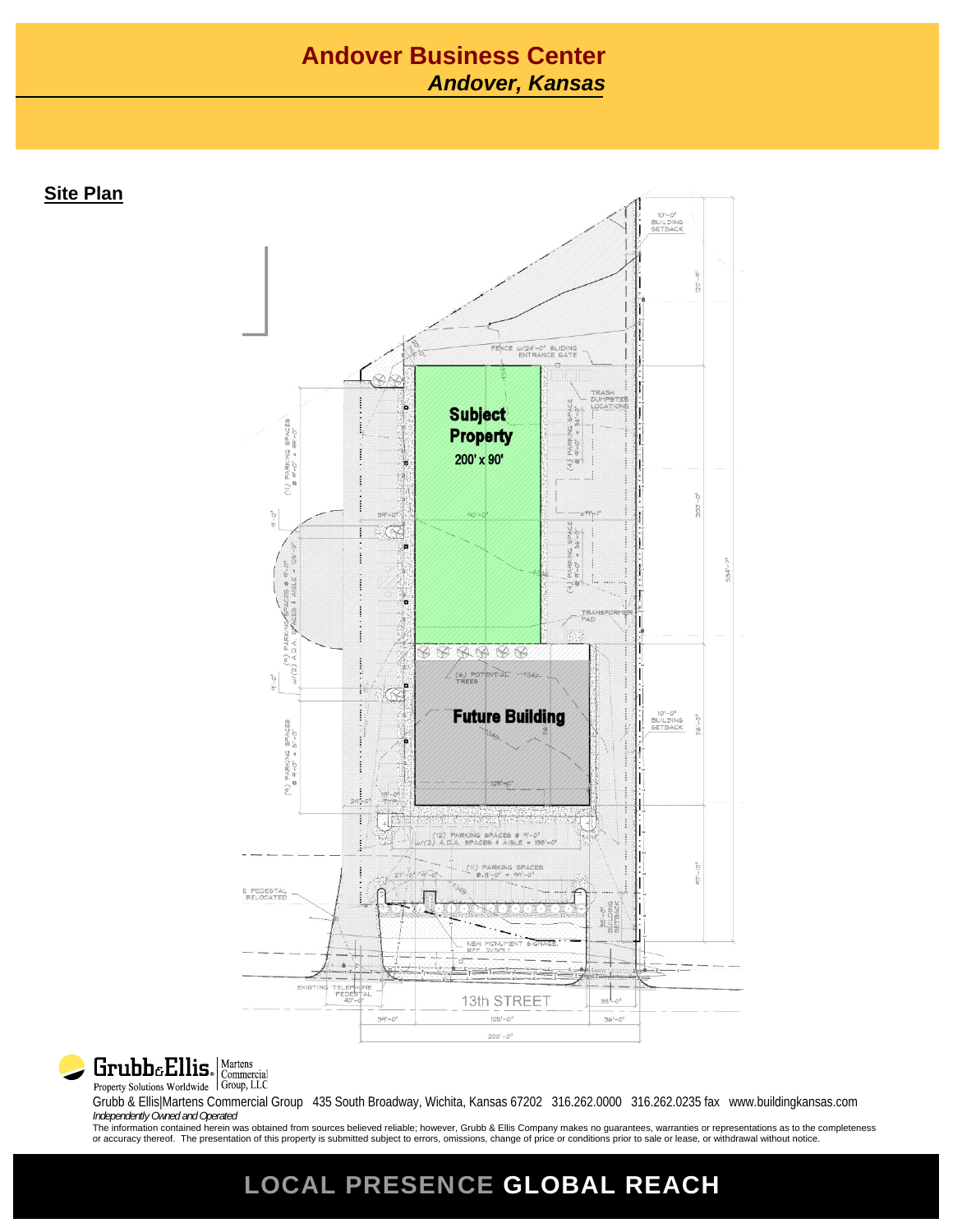#### **Andover Business Center** *Andover, Kansas*

**Site Plan**





Grubb & Ellis|Martens Commercial Group 435 South Broadway, Wichita, Kansas 67202 316.262.0000 316.262.0235 fax www.buildingkansas.com *Independently Owned and Operated*

The information contained herein was obtained from sources believed reliable; however, Grubb & Ellis Company makes no guarantees, warranties or representations as to the completeness<br>or accuracy thereof. The presentation o